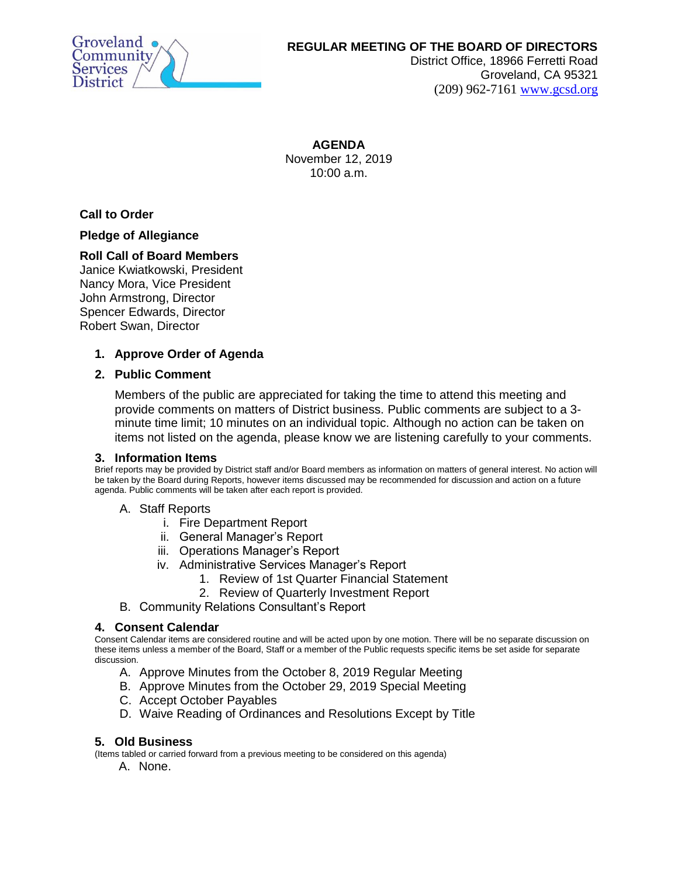

# **REGULAR MEETING OF THE BOARD OF DIRECTORS**

District Office, 18966 Ferretti Road Groveland, CA 95321 (209) 962-7161 [www.gcsd.org](http://www.gcsd.org/)

**AGENDA** November 12, 2019  $10:00$  a.m.

**Call to Order**

## **Pledge of Allegiance**

## **Roll Call of Board Members**

Janice Kwiatkowski, President Nancy Mora, Vice President John Armstrong, Director Spencer Edwards, Director Robert Swan, Director

## **1. Approve Order of Agenda**

### **2. Public Comment**

Members of the public are appreciated for taking the time to attend this meeting and provide comments on matters of District business. Public comments are subject to a 3 minute time limit; 10 minutes on an individual topic. Although no action can be taken on items not listed on the agenda, please know we are listening carefully to your comments.

### **3. Information Items**

Brief reports may be provided by District staff and/or Board members as information on matters of general interest. No action will be taken by the Board during Reports, however items discussed may be recommended for discussion and action on a future agenda. Public comments will be taken after each report is provided.

### A. Staff Reports

- i. Fire Department Report
- ii. General Manager's Report
- iii. Operations Manager's Report
- iv. Administrative Services Manager's Report
	- 1. Review of 1st Quarter Financial Statement
	- 2. Review of Quarterly Investment Report
- B. Community Relations Consultant's Report

### **4. Consent Calendar**

Consent Calendar items are considered routine and will be acted upon by one motion. There will be no separate discussion on these items unless a member of the Board, Staff or a member of the Public requests specific items be set aside for separate discussion.

- A. Approve Minutes from the October 8, 2019 Regular Meeting
- B. Approve Minutes from the October 29, 2019 Special Meeting
- C. Accept October Payables
- D. Waive Reading of Ordinances and Resolutions Except by Title

### **5. Old Business**

(Items tabled or carried forward from a previous meeting to be considered on this agenda)

A. None.